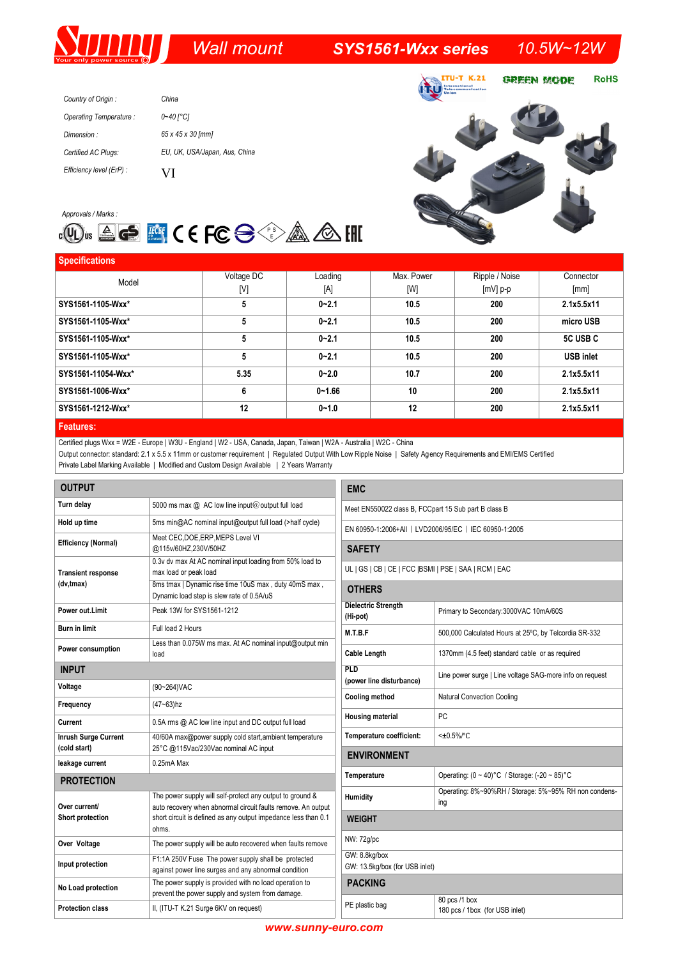## *Wall mount SYS1561-Wxx series 10.5W~12W*

| Country of Origin:       | China                         |
|--------------------------|-------------------------------|
| Operating Temperature:   | 0~40 [°C]                     |
| Dimension:               | 65 x 45 x 30 [mm]             |
| Certified AC Plugs:      | EU, UK, USA/Japan, Aus, China |
| Efficiency level (ErP) : | VI                            |





| <b>Specifications</b> |            |            |            |                |                  |
|-----------------------|------------|------------|------------|----------------|------------------|
| Model                 | Voltage DC | Loading    | Max. Power | Ripple / Noise | Connector        |
|                       | [V]        | [A]        | [W]        | $[mV]$ p-p     | [mm]             |
| SYS1561-1105-Wxx*     | 5          | $0 - 2.1$  | 10.5       | 200            | 2.1x5.5x11       |
| SYS1561-1105-Wxx*     | 5          | $0 - 2.1$  | 10.5       | 200            | micro USB        |
| SYS1561-1105-Wxx*     | 5          | $0 - 2.1$  | 10.5       | 200            | 5C USB C         |
| SYS1561-1105-Wxx*     | 5          | $0 - 2.1$  | 10.5       | 200            | <b>USB inlet</b> |
| SYS1561-11054-Wxx*    | 5.35       | $0 - 2.0$  | 10.7       | 200            | 2.1x5.5x11       |
| SYS1561-1006-Wxx*     | 6          | $0 - 1.66$ | 10         | 200            | 2.1x5.5x11       |
| SYS1561-1212-Wxx*     | 12         | $0 - 1.0$  | 12         | 200            | 2.1x5.5x11       |
| .                     |            |            |            |                |                  |

### **Features:**

Certified plugs Wxx = W2E - Europe | W3U - England | W2 - USA, Canada, Japan, Taiwan | W2A - Australia | W2C - China

Output connector: standard: 2.1 x 5.5 x 11mm or customer requirement | Regulated Output With Low Ripple Noise | Safety Agency Requirements and EMI/EMS Certified Private Label Marking Available | Modified and Custom Design Available | 2 Years Warranty

| <b>OUTPUT</b>                               |                                                                                                                                                                                                      |  |  |  |
|---------------------------------------------|------------------------------------------------------------------------------------------------------------------------------------------------------------------------------------------------------|--|--|--|
| Turn delay                                  | 5000 ms max @ AC low line input@output full load                                                                                                                                                     |  |  |  |
| Hold up time                                | 5ms min@AC nominal input@output full load (>half cycle)                                                                                                                                              |  |  |  |
| Efficiency (Normal)                         | Meet CEC, DOE, ERP, MEPS Level VI<br>@115v/60HZ,230V/50HZ                                                                                                                                            |  |  |  |
| <b>Transient response</b>                   | 0.3v dv max At AC nominal input loading from 50% load to<br>max load or peak load                                                                                                                    |  |  |  |
| (dv,tmax)                                   | 8ms tmax   Dynamic rise time 10uS max, duty 40mS max,<br>Dynamic load step is slew rate of 0.5A/uS                                                                                                   |  |  |  |
| Power out.Limit                             | Peak 13W for SYS1561-1212                                                                                                                                                                            |  |  |  |
| <b>Burn in limit</b>                        | Full load 2 Hours                                                                                                                                                                                    |  |  |  |
| Power consumption                           | Less than 0.075W ms max. At AC nominal input@output min<br>load                                                                                                                                      |  |  |  |
| <b>INPUT</b>                                |                                                                                                                                                                                                      |  |  |  |
| Voltage                                     | (90~264) VAC                                                                                                                                                                                         |  |  |  |
| Frequency                                   | $(47 - 63)$ hz                                                                                                                                                                                       |  |  |  |
| Current                                     | 0.5A rms @ AC low line input and DC output full load                                                                                                                                                 |  |  |  |
| <b>Inrush Surge Current</b><br>(cold start) | 40/60A max@power supply cold start, ambient temperature<br>25°C @115Vac/230Vac nominal AC input                                                                                                      |  |  |  |
| leakage current                             | 0.25mA Max                                                                                                                                                                                           |  |  |  |
| <b>PROTECTION</b>                           |                                                                                                                                                                                                      |  |  |  |
| Over current/<br><b>Short protection</b>    | The power supply will self-protect any output to ground &<br>auto recovery when abnormal circuit faults remove. An output<br>short circuit is defined as any output impedance less than 0.1<br>ohms. |  |  |  |
| Over Voltage                                | The power supply will be auto recovered when faults remove                                                                                                                                           |  |  |  |
| Input protection                            | F1:1A 250V Fuse The power supply shall be protected<br>against power line surges and any abnormal condition                                                                                          |  |  |  |
| No Load protection                          | The power supply is provided with no load operation to<br>prevent the power supply and system from damage.                                                                                           |  |  |  |
| <b>Protection class</b>                     | II, (ITU-T K.21 Surge 6KV on request)                                                                                                                                                                |  |  |  |

| <b>EMC</b>                                             |                                                              |  |  |  |
|--------------------------------------------------------|--------------------------------------------------------------|--|--|--|
| Meet EN550022 class B, FCCpart 15 Sub part B class B   |                                                              |  |  |  |
| EN 60950-1:2006+AII   LVD2006/95/EC   IEC 60950-1:2005 |                                                              |  |  |  |
| <b>SAFETY</b>                                          |                                                              |  |  |  |
| UL   GS   CB   CE   FCC   BSMI   PSE   SAA   RCM   EAC |                                                              |  |  |  |
| <b>OTHERS</b>                                          |                                                              |  |  |  |
| <b>Dielectric Strength</b><br>(Hi-pot)                 | Primary to Secondary: 3000VAC 10mA/60S                       |  |  |  |
| M.T.B.F                                                | 500,000 Calculated Hours at 25°C, by Telcordia SR-332        |  |  |  |
| <b>Cable Length</b>                                    | 1370mm (4.5 feet) standard cable or as required              |  |  |  |
| PLD<br>(power line disturbance)                        | Line power surge   Line voltage SAG-more info on request     |  |  |  |
| Cooling method                                         | <b>Natural Convection Cooling</b>                            |  |  |  |
| <b>Housing material</b>                                | PC                                                           |  |  |  |
| Temperature coefficient:                               | $<+0.5\%$ /°C                                                |  |  |  |
| <b>ENVIRONMENT</b>                                     |                                                              |  |  |  |
| Temperature                                            | Operating: $(0 \sim 40)$ °C / Storage: $(-20 \sim 85)$ °C    |  |  |  |
| Humidity                                               | Operating: 8%~90%RH / Storage: 5%~95% RH non condens-<br>ing |  |  |  |
| <b>WEIGHT</b>                                          |                                                              |  |  |  |
| NW: 72g/pc                                             |                                                              |  |  |  |
| GW: 8.8kg/box<br>GW: 13.5kg/box (for USB inlet)        |                                                              |  |  |  |
| <b>PACKING</b>                                         |                                                              |  |  |  |
| PE plastic bag                                         | 80 pcs /1 box<br>180 pcs / 1box (for USB inlet)              |  |  |  |